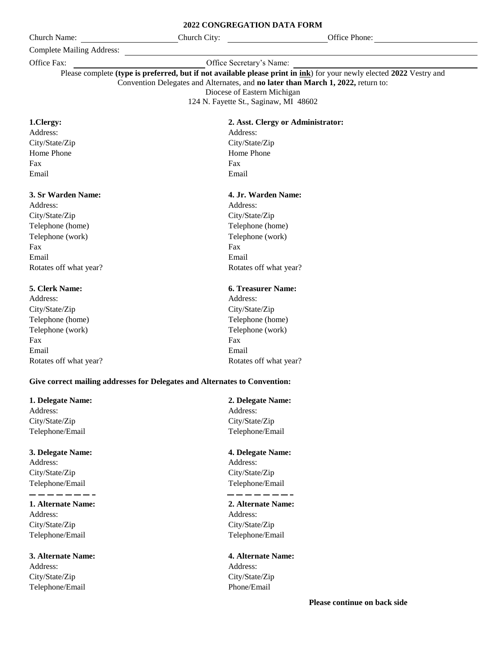## **2022 CONGREGATION DATA FORM**

Church Name: Church City: Office Phone:

Complete Mailing Address:

## Office Fax: Office Secretary's Name:

Please complete **(type is preferred, but if not available please print in ink**) for your newly elected **2022** Vestry and Convention Delegates and Alternates, and **no later than March 1, 2022,** return to:

Diocese of Eastern Michigan

124 N. Fayette St., Saginaw, MI 48602

Address: Address: City/State/Zip City/State/Zip Home Phone **Home** Phone Fax Fax Email Email

Address: Address: City/State/Zip City/State/Zip Telephone (home) Telephone (home) Telephone (work) Telephone (work) Fax Fax Email Email Rotates off what year? Rotates off what year?

Address: Address: City/State/Zip City/State/Zip Telephone (home) Telephone (home) Telephone (work) Telephone (work) Fax Fax Email Email

## **1.Clergy: 2. Asst. Clergy or Administrator:**

### **3. Sr Warden Name: 4. Jr. Warden Name:**

## **5. Clerk Name: 6. Treasurer Name:**

Rotates off what year? Rotates off what year?

### **Give correct mailing addresses for Delegates and Alternates to Convention:**

**1. Delegate Name: 2. Delegate Name:** Address: Address: Address: Address: Address: Address: Address: Address: Address: Address: Address: Address: Address:  $\alpha$ City/State/Zip City/State/Zip

### **3. Delegate Name: 4. Delegate Name:**

Address: Address: City/State/Zip City/State/Zip Telephone/Email Telephone/Email

# \_\_\_\_\_\_\_\_ Address: Address:

City/State/Zip City/State/Zip Telephone/Email Telephone/Email

# Address: Address:

City/State/Zip City/State/Zip Telephone/Email Phone/Email

- Telephone/Email Telephone/Email
	-

# **1. Alternate Name: 2. Alternate Name:**

\_\_\_\_\_\_\_\_

**3. Alternate Name: 4. Alternate Name:**